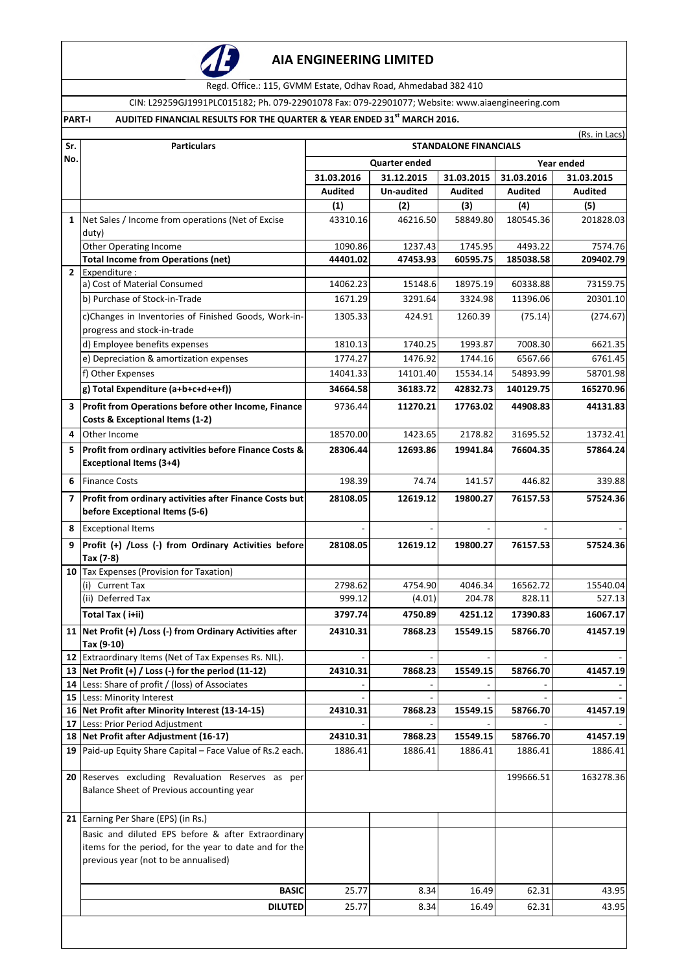

# **AIA ENGINEERING LIMITED**

Regd. Office.: 115, GVMM Estate, Odhav Road, Ahmedabad 382 410

CIN: L29259GJ1991PLC015182; Ph. 079-22901078 Fax: 079-22901077; Website: www.aiaengineering.com

## **PART-I AUDITED FINANCIAL RESULTS FOR THE QUARTER & YEAR ENDED 31st MARCH 2016.**

| Sr.            | <b>Particulars</b>                                                                                     | (Rs. in Lacs)<br><b>STANDALONE FINANCIALS</b> |            |                |                |                |
|----------------|--------------------------------------------------------------------------------------------------------|-----------------------------------------------|------------|----------------|----------------|----------------|
| No.            |                                                                                                        | <b>Quarter ended</b><br>Year ended            |            |                |                |                |
|                |                                                                                                        | 31.03.2016                                    | 31.12.2015 | 31.03.2015     | 31.03.2016     | 31.03.2015     |
|                |                                                                                                        | <b>Audited</b>                                | Un-audited | <b>Audited</b> | <b>Audited</b> | <b>Audited</b> |
|                |                                                                                                        | (1)                                           | (2)        | (3)            | (4)            | (5)            |
| $\mathbf{1}$   | Net Sales / Income from operations (Net of Excise<br>duty)                                             | 43310.16                                      | 46216.50   | 58849.80       | 180545.36      | 201828.03      |
|                | <b>Other Operating Income</b>                                                                          | 1090.86                                       | 1237.43    | 1745.95        | 4493.22        | 7574.76        |
|                | <b>Total Income from Operations (net)</b>                                                              | 44401.02                                      | 47453.93   | 60595.75       | 185038.58      | 209402.79      |
| $\overline{2}$ | Expenditure :                                                                                          |                                               |            |                |                |                |
|                | a) Cost of Material Consumed                                                                           | 14062.23                                      | 15148.6    | 18975.19       | 60338.88       | 73159.75       |
|                | b) Purchase of Stock-in-Trade                                                                          | 1671.29                                       | 3291.64    | 3324.98        | 11396.06       | 20301.10       |
|                | c)Changes in Inventories of Finished Goods, Work-in-<br>progress and stock-in-trade                    | 1305.33                                       | 424.91     | 1260.39        | (75.14)        | (274.67)       |
|                | d) Employee benefits expenses                                                                          | 1810.13                                       | 1740.25    | 1993.87        | 7008.30        | 6621.35        |
|                | e) Depreciation & amortization expenses                                                                | 1774.27                                       | 1476.92    | 1744.16        | 6567.66        | 6761.45        |
|                | f) Other Expenses                                                                                      | 14041.33                                      | 14101.40   | 15534.14       | 54893.99       | 58701.98       |
|                | g) Total Expenditure (a+b+c+d+e+f))                                                                    | 34664.58                                      | 36183.72   | 42832.73       | 140129.75      | 165270.96      |
| 3              | Profit from Operations before other Income, Finance<br>Costs & Exceptional Items (1-2)                 | 9736.44                                       | 11270.21   | 17763.02       | 44908.83       | 44131.83       |
| 4              | Other Income                                                                                           | 18570.00                                      | 1423.65    | 2178.82        | 31695.52       | 13732.41       |
| 5              | Profit from ordinary activities before Finance Costs &                                                 | 28306.44                                      | 12693.86   | 19941.84       | 76604.35       | 57864.24       |
|                | <b>Exceptional Items (3+4)</b>                                                                         |                                               |            |                |                |                |
| 6              | <b>Finance Costs</b>                                                                                   | 198.39                                        | 74.74      | 141.57         | 446.82         | 339.88         |
| $\overline{ }$ | Profit from ordinary activities after Finance Costs but<br>before Exceptional Items (5-6)              | 28108.05                                      | 12619.12   | 19800.27       | 76157.53       | 57524.36       |
| 8              | <b>Exceptional Items</b>                                                                               |                                               |            |                |                |                |
| 9              | Profit (+) /Loss (-) from Ordinary Activities before<br>Tax (7-8)                                      | 28108.05                                      | 12619.12   | 19800.27       | 76157.53       | 57524.36       |
|                | 10 Tax Expenses (Provision for Taxation)                                                               |                                               |            |                |                |                |
|                | (i) Current Tax                                                                                        | 2798.62                                       | 4754.90    | 4046.34        | 16562.72       | 15540.04       |
|                | (ii) Deferred Tax                                                                                      | 999.12                                        | (4.01)     | 204.78         | 828.11         | 527.13         |
|                | Total Tax (i+ii)                                                                                       | 3797.74                                       | 4750.89    | 4251.12        | 17390.83       | 16067.17       |
|                | 11 Net Profit (+) / Loss (-) from Ordinary Activities after                                            | 24310.31                                      | 7868.23    | 15549.15       | 58766.70       | 41457.19       |
|                | Tax (9-10)                                                                                             |                                               |            |                |                |                |
| 12<br>13       | Extraordinary Items (Net of Tax Expenses Rs. NIL).<br>Net Profit (+) / Loss (-) for the period (11-12) | 24310.31                                      | 7868.23    | 15549.15       | 58766.70       | 41457.19       |
| 14             | Less: Share of profit / (loss) of Associates                                                           |                                               |            |                |                |                |
|                | 15 Less: Minority Interest                                                                             |                                               |            |                |                |                |
| 16             | Net Profit after Minority Interest (13-14-15)                                                          | 24310.31                                      | 7868.23    | 15549.15       | 58766.70       | 41457.19       |
| 17             | Less: Prior Period Adjustment                                                                          |                                               |            |                |                |                |
| 18             | Net Profit after Adjustment (16-17)                                                                    | 24310.31                                      | 7868.23    | 15549.15       | 58766.70       | 41457.19       |
| 19             | Paid-up Equity Share Capital - Face Value of Rs.2 each.                                                | 1886.41                                       | 1886.41    | 1886.41        | 1886.41        | 1886.41        |
|                | 20 Reserves excluding Revaluation Reserves as per<br>Balance Sheet of Previous accounting year         |                                               |            |                | 199666.51      | 163278.36      |
|                | 21 Earning Per Share (EPS) (in Rs.)                                                                    |                                               |            |                |                |                |
|                | Basic and diluted EPS before & after Extraordinary                                                     |                                               |            |                |                |                |
|                | items for the period, for the year to date and for the                                                 |                                               |            |                |                |                |
|                | previous year (not to be annualised)                                                                   |                                               |            |                |                |                |
|                | <b>BASIC</b>                                                                                           | 25.77                                         | 8.34       | 16.49          | 62.31          | 43.95          |
|                | <b>DILUTED</b>                                                                                         | 25.77                                         | 8.34       | 16.49          | 62.31          | 43.95          |
|                |                                                                                                        |                                               |            |                |                |                |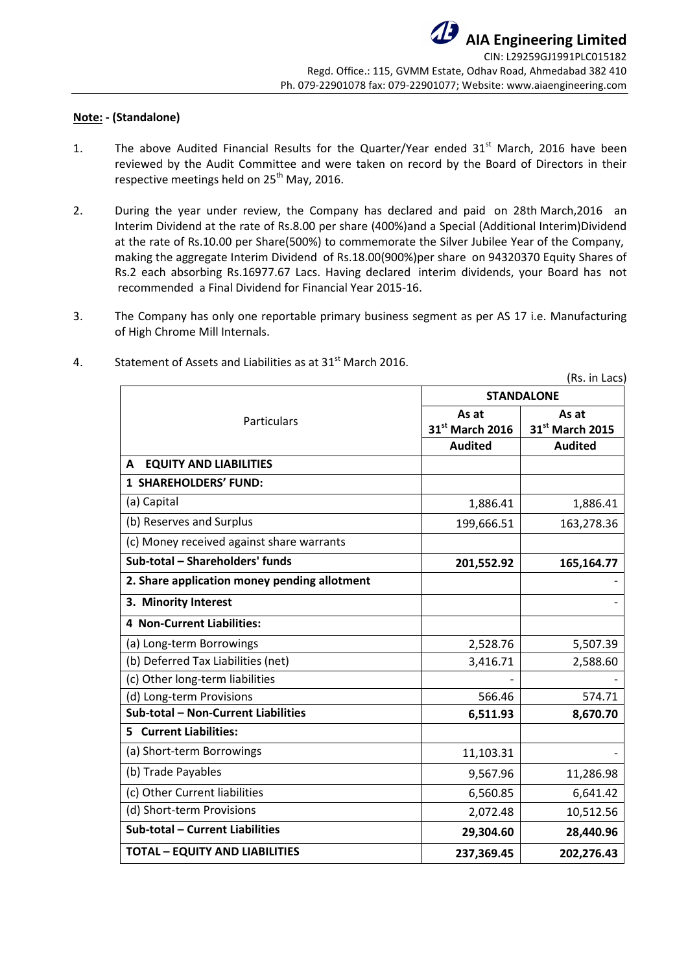## **Note: - (Standalone)**

- 1. The above Audited Financial Results for the Quarter/Year ended  $31<sup>st</sup>$  March, 2016 have been reviewed by the Audit Committee and were taken on record by the Board of Directors in their respective meetings held on  $25<sup>th</sup>$  May, 2016.
- 2. During the year under review, the Company has declared and paid on 28th March,2016 an Interim Dividend at the rate of Rs.8.00 per share (400%)and a Special (Additional Interim)Dividend at the rate of Rs.10.00 per Share(500%) to commemorate the Silver Jubilee Year of the Company, making the aggregate Interim Dividend of Rs.18.00(900%)per share on 94320370 Equity Shares of Rs.2 each absorbing Rs.16977.67 Lacs. Having declared interim dividends, your Board has not recommended a Final Dividend for Financial Year 2015-16.
- 3. The Company has only one reportable primary business segment as per AS 17 i.e. Manufacturing of High Chrome Mill Internals.

|                                              |                 | (Rs. in Lacs)            |  |  |
|----------------------------------------------|-----------------|--------------------------|--|--|
|                                              |                 | <b>STANDALONE</b>        |  |  |
| Particulars                                  | As at           | As at<br>31st March 2015 |  |  |
|                                              | 31st March 2016 |                          |  |  |
|                                              | <b>Audited</b>  | <b>Audited</b>           |  |  |
| <b>EQUITY AND LIABILITIES</b><br>A           |                 |                          |  |  |
| <b>1 SHAREHOLDERS' FUND:</b>                 |                 |                          |  |  |
| (a) Capital                                  | 1,886.41        | 1,886.41                 |  |  |
| (b) Reserves and Surplus                     | 199,666.51      | 163,278.36               |  |  |
| (c) Money received against share warrants    |                 |                          |  |  |
| Sub-total - Shareholders' funds              | 201,552.92      | 165,164.77               |  |  |
| 2. Share application money pending allotment |                 |                          |  |  |
| 3. Minority Interest                         |                 |                          |  |  |
| <b>4 Non-Current Liabilities:</b>            |                 |                          |  |  |
| (a) Long-term Borrowings                     | 2,528.76        | 5,507.39                 |  |  |
| (b) Deferred Tax Liabilities (net)           | 3,416.71        | 2,588.60                 |  |  |
| (c) Other long-term liabilities              |                 |                          |  |  |
| (d) Long-term Provisions                     | 566.46          | 574.71                   |  |  |
| Sub-total - Non-Current Liabilities          | 6,511.93        | 8,670.70                 |  |  |
| 5 Current Liabilities:                       |                 |                          |  |  |
| (a) Short-term Borrowings                    | 11,103.31       |                          |  |  |
| (b) Trade Payables                           | 9,567.96        | 11,286.98                |  |  |
| (c) Other Current liabilities                | 6,560.85        | 6,641.42                 |  |  |
| (d) Short-term Provisions                    | 2,072.48        | 10,512.56                |  |  |
| Sub-total - Current Liabilities              | 29,304.60       | 28,440.96                |  |  |
| <b>TOTAL - EQUITY AND LIABILITIES</b>        | 237,369.45      | 202,276.43               |  |  |

4. Statement of Assets and Liabilities as at 31<sup>st</sup> March 2016.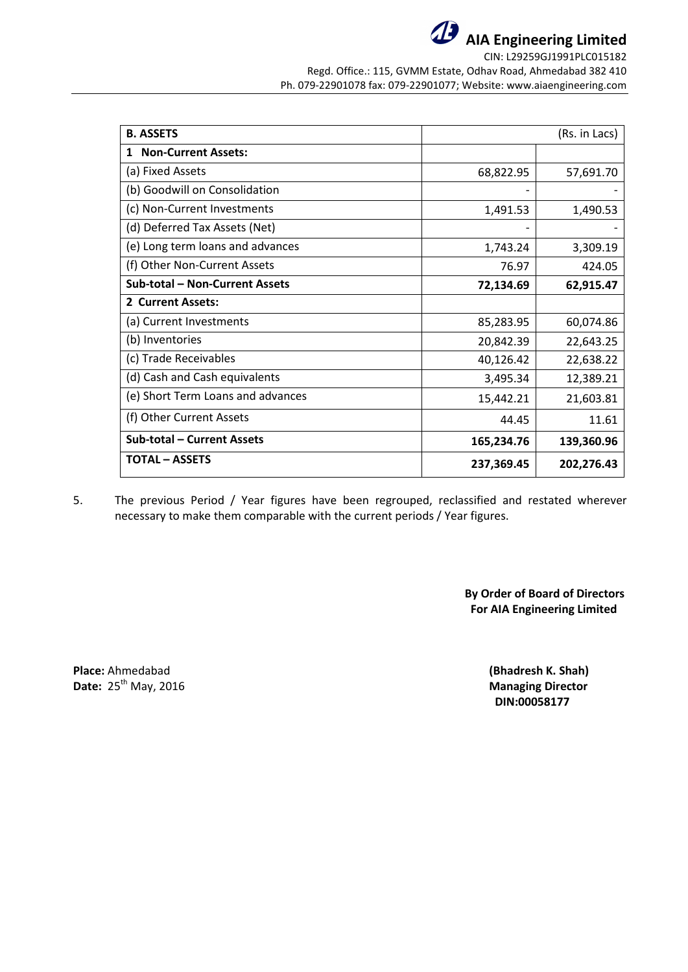

**AIA Engineering Limited** CIN: L29259GJ1991PLC015182

Regd. Office.: 115, GVMM Estate, Odhav Road, Ahmedabad 382 410 Ph. 079-22901078 fax: 079-22901077; Website: www.aiaengineering.com

| <b>B. ASSETS</b>                  |            | (Rs. in Lacs) |
|-----------------------------------|------------|---------------|
| <b>Non-Current Assets:</b><br>1   |            |               |
| (a) Fixed Assets                  | 68,822.95  | 57,691.70     |
| (b) Goodwill on Consolidation     |            |               |
| (c) Non-Current Investments       | 1,491.53   | 1,490.53      |
| (d) Deferred Tax Assets (Net)     |            |               |
| (e) Long term loans and advances  | 1,743.24   | 3,309.19      |
| (f) Other Non-Current Assets      | 76.97      | 424.05        |
| Sub-total - Non-Current Assets    | 72,134.69  | 62,915.47     |
| 2 Current Assets:                 |            |               |
| (a) Current Investments           | 85,283.95  | 60,074.86     |
| (b) Inventories                   | 20,842.39  | 22,643.25     |
| (c) Trade Receivables             | 40,126.42  | 22,638.22     |
| (d) Cash and Cash equivalents     | 3,495.34   | 12,389.21     |
| (e) Short Term Loans and advances | 15,442.21  | 21,603.81     |
| (f) Other Current Assets          | 44.45      | 11.61         |
| Sub-total - Current Assets        | 165,234.76 | 139,360.96    |
| <b>TOTAL – ASSETS</b>             | 237,369.45 | 202,276.43    |

5. The previous Period / Year figures have been regrouped, reclassified and restated wherever necessary to make them comparable with the current periods / Year figures.

> **By Order of Board of Directors For AIA Engineering Limited**

**Place:** Ahmedabad **(Bhadresh K. Shah) Date:** 25<sup>th</sup> May, 2016 **Managing Director** 

**DIN:00058177**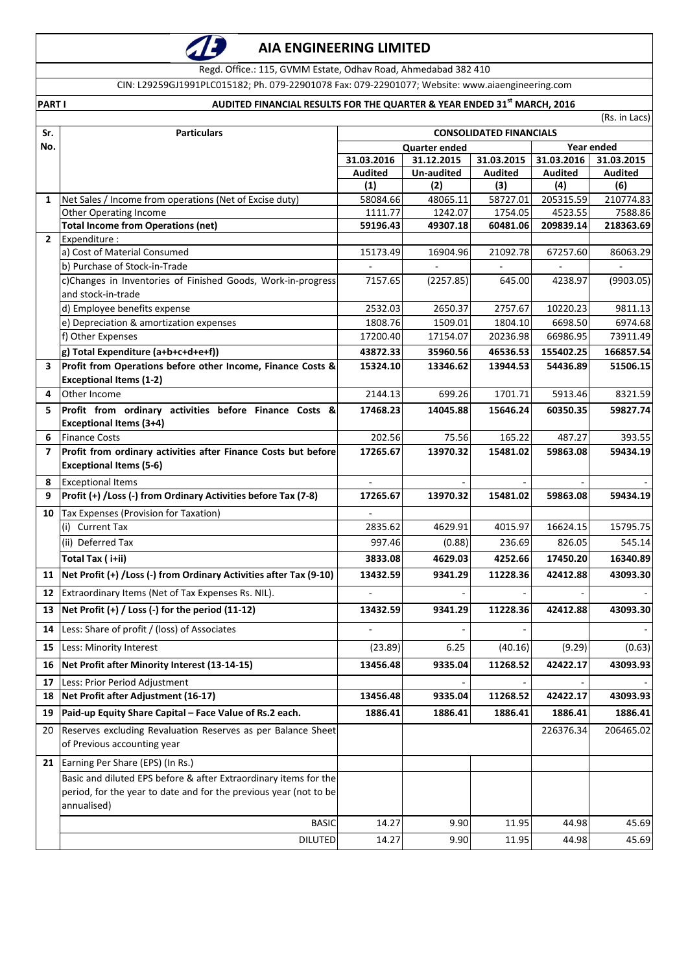

# **AIA ENGINEERING LIMITED**

Regd. Office.: 115, GVMM Estate, Odhav Road, Ahmedabad 382 410

CIN: L29259GJ1991PLC015182; Ph. 079-22901078 Fax: 079-22901077; Website: www.aiaengineering.com

# **PART I AUDITED FINANCIAL RESULTS FOR THE QUARTER & YEAR ENDED 31st MARCH, 2016**

|                | (Rs. in Lacs)                                                              |                                    |                     |                          |                      |                          |  |
|----------------|----------------------------------------------------------------------------|------------------------------------|---------------------|--------------------------|----------------------|--------------------------|--|
| Sr.            | <b>Particulars</b><br><b>CONSOLIDATED FINANCIALS</b>                       |                                    |                     |                          |                      |                          |  |
| No.            |                                                                            | Year ended<br><b>Quarter ended</b> |                     |                          |                      |                          |  |
|                |                                                                            | 31.03.2016                         | 31.12.2015          | 31.03.2015               | 31.03.2016           | 31.03.2015               |  |
|                |                                                                            | <b>Audited</b>                     | Un-audited          | <b>Audited</b>           | <b>Audited</b>       | <b>Audited</b>           |  |
|                |                                                                            | (1)                                | (2)                 | (3)                      | (4)                  | (6)                      |  |
| 1              | Net Sales / Income from operations (Net of Excise duty)                    | 58084.66                           | 48065.11            | 58727.01                 | 205315.59<br>4523.55 | 210774.83<br>7588.86     |  |
|                | <b>Other Operating Income</b><br><b>Total Income from Operations (net)</b> | 1111.77<br>59196.43                | 1242.07<br>49307.18 | 1754.05<br>60481.06      | 209839.14            | 218363.69                |  |
| $\overline{2}$ | Expenditure :                                                              |                                    |                     |                          |                      |                          |  |
|                | a) Cost of Material Consumed                                               | 15173.49                           | 16904.96            | 21092.78                 | 67257.60             | 86063.29                 |  |
|                | b) Purchase of Stock-in-Trade                                              |                                    |                     | $\overline{\phantom{a}}$ |                      | $\overline{\phantom{a}}$ |  |
|                | c)Changes in Inventories of Finished Goods, Work-in-progress               | 7157.65                            | (2257.85)           | 645.00                   | 4238.97              | (9903.05)                |  |
|                | and stock-in-trade                                                         |                                    |                     |                          |                      |                          |  |
|                | d) Employee benefits expense                                               | 2532.03                            | 2650.37             | 2757.67                  | 10220.23             | 9811.13                  |  |
|                | e) Depreciation & amortization expenses                                    | 1808.76                            | 1509.01             | 1804.10                  | 6698.50              | 6974.68                  |  |
|                | f) Other Expenses                                                          | 17200.40                           | 17154.07            | 20236.98                 | 66986.95             | 73911.49                 |  |
|                | g) Total Expenditure (a+b+c+d+e+f))                                        | 43872.33                           | 35960.56            | 46536.53                 | 155402.25            | 166857.54                |  |
| 3              | Profit from Operations before other Income, Finance Costs &                | 15324.10                           | 13346.62            | 13944.53                 | 54436.89             | 51506.15                 |  |
|                | <b>Exceptional Items (1-2)</b>                                             |                                    |                     |                          |                      |                          |  |
| 4              | Other Income                                                               | 2144.13                            | 699.26              | 1701.71                  | 5913.46              | 8321.59                  |  |
| 5              | Profit from ordinary activities before Finance Costs &                     | 17468.23                           | 14045.88            | 15646.24                 | 60350.35             | 59827.74                 |  |
|                | <b>Exceptional Items (3+4)</b>                                             |                                    |                     |                          |                      |                          |  |
| 6              | <b>Finance Costs</b>                                                       | 202.56                             | 75.56               | 165.22                   | 487.27               | 393.55                   |  |
| 7              | Profit from ordinary activities after Finance Costs but before             | 17265.67                           | 13970.32            | 15481.02                 | 59863.08             | 59434.19                 |  |
|                | <b>Exceptional Items (5-6)</b>                                             |                                    |                     |                          |                      |                          |  |
| 8              | <b>Exceptional Items</b>                                                   |                                    |                     |                          |                      |                          |  |
| 9              | Profit (+) / Loss (-) from Ordinary Activities before Tax (7-8)            | 17265.67                           | 13970.32            | 15481.02                 | 59863.08             | 59434.19                 |  |
| 10             | Tax Expenses (Provision for Taxation)                                      |                                    |                     |                          |                      |                          |  |
|                | (i) Current Tax                                                            | 2835.62                            | 4629.91             | 4015.97                  | 16624.15             | 15795.75                 |  |
|                | (ii) Deferred Tax                                                          | 997.46                             | (0.88)              | 236.69                   | 826.05               | 545.14                   |  |
|                | Total Tax (i+ii)                                                           | 3833.08                            | 4629.03             | 4252.66                  |                      | 16340.89                 |  |
| 11             | Net Profit (+) / Loss (-) from Ordinary Activities after Tax (9-10)        | 13432.59                           | 9341.29             | 11228.36                 | 42412.88             | 43093.30                 |  |
| 12             | Extraordinary Items (Net of Tax Expenses Rs. NIL).                         |                                    |                     |                          |                      |                          |  |
| 13             | Net Profit $(+)$ / Loss $(-)$ for the period $(11-12)$                     | 13432.59                           | 9341.29             | 11228.36                 | 42412.88             | 43093.30                 |  |
|                | 14 Less: Share of profit / (loss) of Associates                            |                                    |                     |                          |                      |                          |  |
| 15             | Less: Minority Interest                                                    | (23.89)                            | 6.25                | (40.16)                  | (9.29)               | (0.63)                   |  |
| 16             | Net Profit after Minority Interest (13-14-15)                              | 13456.48                           | 9335.04             | 11268.52                 | 42422.17             | 43093.93                 |  |
| 17             | Less: Prior Period Adjustment                                              |                                    |                     |                          |                      |                          |  |
| 18             | Net Profit after Adjustment (16-17)                                        | 13456.48                           | 9335.04             | 11268.52                 | 42422.17             | 43093.93                 |  |
| 19             | Paid-up Equity Share Capital - Face Value of Rs.2 each.                    | 1886.41                            | 1886.41             | 1886.41                  | 1886.41              | 1886.41                  |  |
| 20             | Reserves excluding Revaluation Reserves as per Balance Sheet               |                                    |                     |                          | 226376.34            | 206465.02                |  |
|                | of Previous accounting year                                                |                                    |                     |                          |                      |                          |  |
| 21             | Earning Per Share (EPS) (In Rs.)                                           |                                    |                     |                          |                      |                          |  |
|                | Basic and diluted EPS before & after Extraordinary items for the           |                                    |                     |                          |                      |                          |  |
|                | period, for the year to date and for the previous year (not to be          |                                    |                     |                          |                      |                          |  |
|                | annualised)                                                                |                                    |                     |                          |                      |                          |  |
|                | <b>BASIC</b>                                                               | 14.27                              | 9.90                | 11.95                    | 44.98                | 45.69                    |  |
|                | <b>DILUTED</b>                                                             | 14.27                              | 9.90                | 11.95                    | 44.98                | 45.69                    |  |
|                |                                                                            |                                    |                     |                          |                      |                          |  |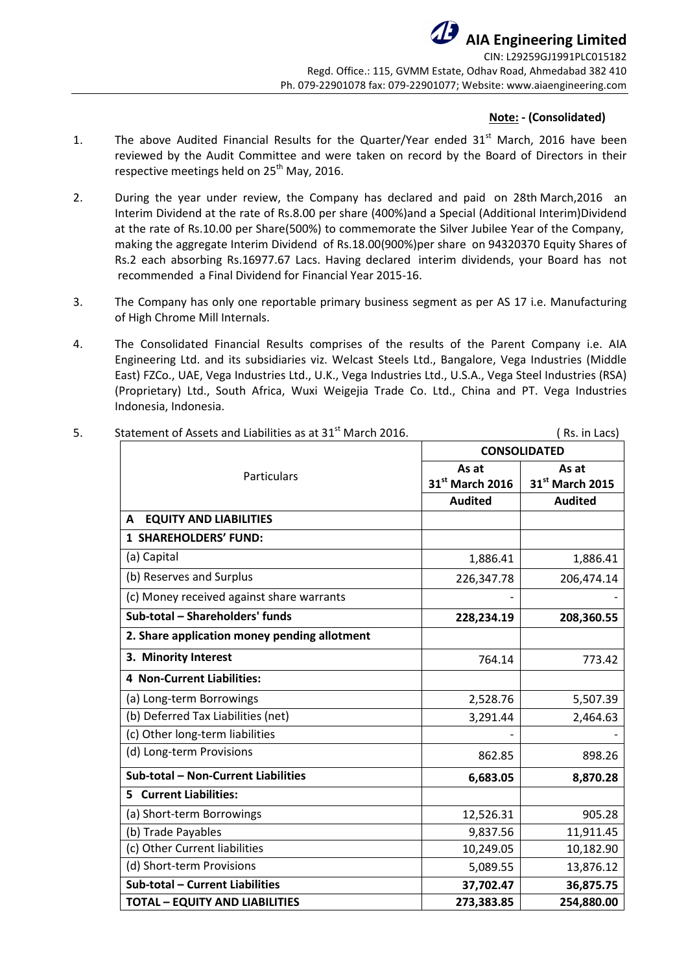## **Note: - (Consolidated)**

- 1. The above Audited Financial Results for the Quarter/Year ended 31<sup>st</sup> March, 2016 have been reviewed by the Audit Committee and were taken on record by the Board of Directors in their respective meetings held on  $25<sup>th</sup>$  May, 2016.
- 2. During the year under review, the Company has declared and paid on 28th March,2016 an Interim Dividend at the rate of Rs.8.00 per share (400%)and a Special (Additional Interim)Dividend at the rate of Rs.10.00 per Share(500%) to commemorate the Silver Jubilee Year of the Company, making the aggregate Interim Dividend of Rs.18.00(900%)per share on 94320370 Equity Shares of Rs.2 each absorbing Rs.16977.67 Lacs. Having declared interim dividends, your Board has not recommended a Final Dividend for Financial Year 2015-16.
- 3. The Company has only one reportable primary business segment as per AS 17 i.e. Manufacturing of High Chrome Mill Internals.
- 4. The Consolidated Financial Results comprises of the results of the Parent Company i.e. AIA Engineering Ltd. and its subsidiaries viz. Welcast Steels Ltd., Bangalore, Vega Industries (Middle East) FZCo., UAE, Vega Industries Ltd., U.K., Vega Industries Ltd., U.S.A., Vega Steel Industries (RSA) (Proprietary) Ltd., South Africa, Wuxi Weigejia Trade Co. Ltd., China and PT. Vega Industries Indonesia, Indonesia.

| Statement of Assets and Liabilities as at 31 <sup>st</sup> March 2016. | Rs. in Lacs)                |                 |  |  |
|------------------------------------------------------------------------|-----------------------------|-----------------|--|--|
| Particulars                                                            | <b>CONSOLIDATED</b>         |                 |  |  |
|                                                                        | As at                       | As at           |  |  |
|                                                                        | 31 <sup>st</sup> March 2016 | 31st March 2015 |  |  |
|                                                                        | <b>Audited</b>              | <b>Audited</b>  |  |  |
| <b>EQUITY AND LIABILITIES</b><br>A                                     |                             |                 |  |  |
| 1 SHAREHOLDERS' FUND:                                                  |                             |                 |  |  |
| (a) Capital                                                            | 1,886.41                    | 1,886.41        |  |  |
| (b) Reserves and Surplus                                               | 226,347.78                  | 206,474.14      |  |  |
| (c) Money received against share warrants                              |                             |                 |  |  |
| Sub-total - Shareholders' funds                                        | 228,234.19                  | 208,360.55      |  |  |
| 2. Share application money pending allotment                           |                             |                 |  |  |
| 3. Minority Interest                                                   | 764.14                      | 773.42          |  |  |
| 4 Non-Current Liabilities:                                             |                             |                 |  |  |
| (a) Long-term Borrowings                                               | 2,528.76                    | 5,507.39        |  |  |
| (b) Deferred Tax Liabilities (net)                                     | 3,291.44                    | 2,464.63        |  |  |
| (c) Other long-term liabilities                                        |                             |                 |  |  |
| (d) Long-term Provisions                                               | 862.85                      | 898.26          |  |  |
| Sub-total - Non-Current Liabilities                                    | 6,683.05                    | 8,870.28        |  |  |
| <b>5</b> Current Liabilities:                                          |                             |                 |  |  |
| (a) Short-term Borrowings                                              | 12,526.31                   | 905.28          |  |  |
| (b) Trade Payables                                                     | 9,837.56                    | 11,911.45       |  |  |
| (c) Other Current liabilities                                          | 10,249.05                   | 10,182.90       |  |  |
| (d) Short-term Provisions                                              | 5,089.55                    | 13,876.12       |  |  |
| Sub-total - Current Liabilities                                        | 37,702.47                   | 36,875.75       |  |  |
| <b>TOTAL - EQUITY AND LIABILITIES</b>                                  | 273,383.85                  | 254,880.00      |  |  |